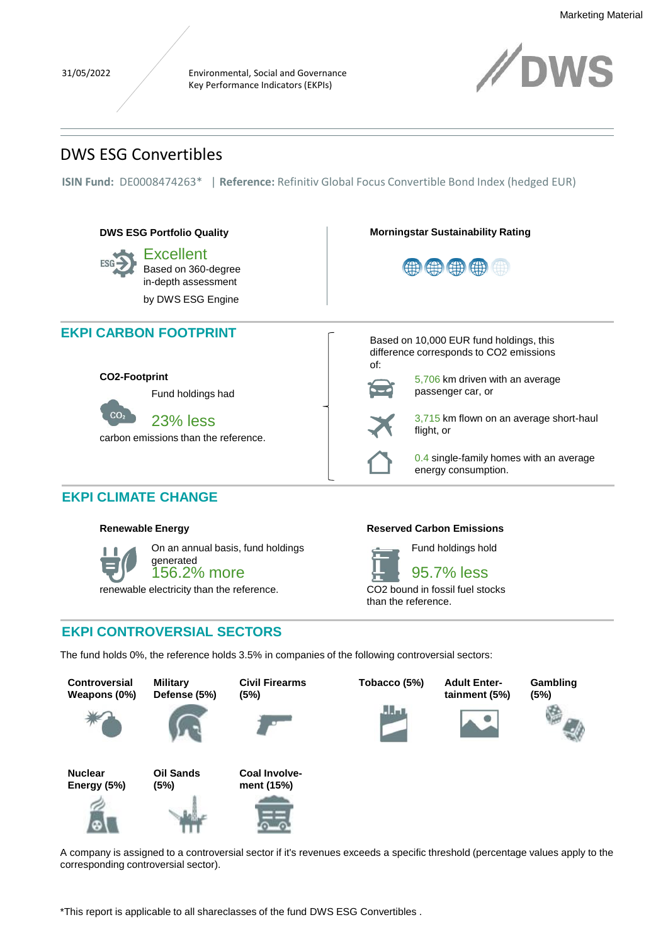Environmental, Social and Governance Key Performance Indicators (EKPIs)



# DWS ESG Convertibles

**ISIN Fund:** DE0008474263\* | **Reference:** Refinitiv Global Focus Convertible Bond Index (hedged EUR)





On an annual basis, fund holdings generated

156.2% more

renewable electricity than the reference.

Fund holdings hold



CO2 bound in fossil fuel stocks than the reference.

# **EKPI CONTROVERSIAL SECTORS**

The fund holds 0%, the reference holds 3.5% in companies of the following controversial sectors:



A company is assigned to a controversial sector if it's revenues exceeds a specific threshold (percentage values apply to the corresponding controversial sector).

\*This report is applicable to all shareclasses of the fund DWS ESG Convertibles .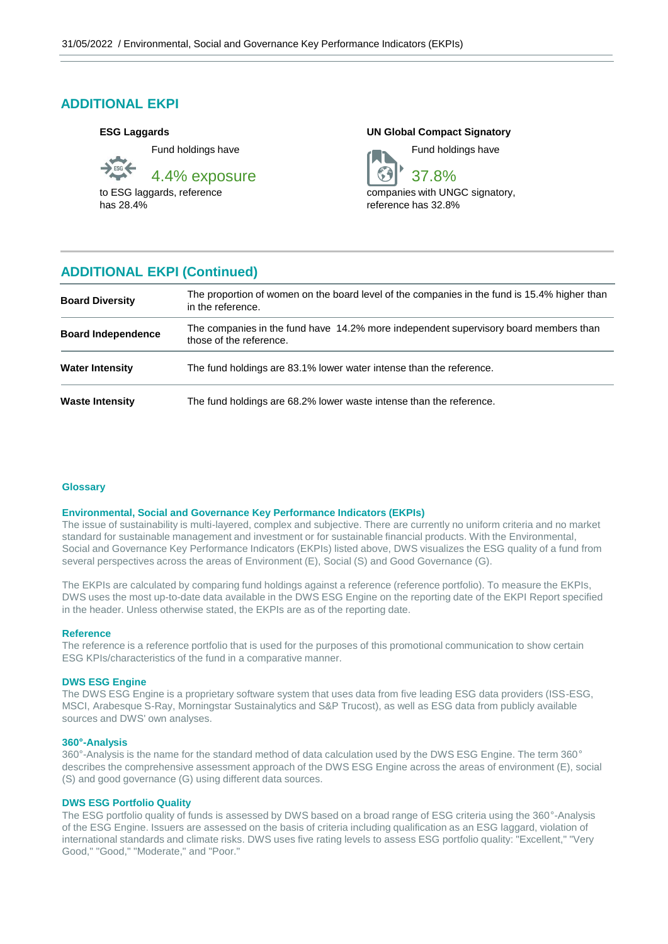# **ADDITIONAL EKPI**

# **ESG Laggards**

Fund holdings have 4.4% exposure

to ESG laggards, reference has 28.4%

**UN Global Compact Signatory**

37.8%

Fund holdings have



companies with UNGC signatory. reference has 32.8%

# **ADDITIONAL EKPI (Continued)**

| <b>Board Diversity</b>    | The proportion of women on the board level of the companies in the fund is 15.4% higher than<br>in the reference. |
|---------------------------|-------------------------------------------------------------------------------------------------------------------|
| <b>Board Independence</b> | The companies in the fund have 14.2% more independent supervisory board members than<br>those of the reference.   |
| <b>Water Intensity</b>    | The fund holdings are 83.1% lower water intense than the reference.                                               |
| <b>Waste Intensity</b>    | The fund holdings are 68.2% lower waste intense than the reference.                                               |

# **Glossary**

## **Environmental, Social and Governance Key Performance Indicators (EKPIs)**

The issue of sustainability is multi-layered, complex and subjective. There are currently no uniform criteria and no market standard for sustainable management and investment or for sustainable financial products. With the Environmental, Social and Governance Key Performance Indicators (EKPIs) listed above, DWS visualizes the ESG quality of a fund from several perspectives across the areas of Environment (E), Social (S) and Good Governance (G).

The EKPIs are calculated by comparing fund holdings against a reference (reference portfolio). To measure the EKPIs, DWS uses the most up-to-date data available in the DWS ESG Engine on the reporting date of the EKPI Report specified in the header. Unless otherwise stated, the EKPIs are as of the reporting date.

### **Reference**

The reference is a reference portfolio that is used for the purposes of this promotional communication to show certain ESG KPIs/characteristics of the fund in a comparative manner.

## **DWS ESG Engine**

The DWS ESG Engine is a proprietary software system that uses data from five leading ESG data providers (ISS-ESG, MSCI, Arabesque S-Ray, Morningstar Sustainalytics and S&P Trucost), as well as ESG data from publicly available sources and DWS' own analyses.

### **360°-Analysis**

360°-Analysis is the name for the standard method of data calculation used by the DWS ESG Engine. The term 360° describes the comprehensive assessment approach of the DWS ESG Engine across the areas of environment (E), social (S) and good governance (G) using different data sources.

# **DWS ESG Portfolio Quality**

The ESG portfolio quality of funds is assessed by DWS based on a broad range of ESG criteria using the 360°-Analysis of the ESG Engine. Issuers are assessed on the basis of criteria including qualification as an ESG laggard, violation of international standards and climate risks. DWS uses five rating levels to assess ESG portfolio quality: "Excellent," "Very Good," "Good," "Moderate," and "Poor."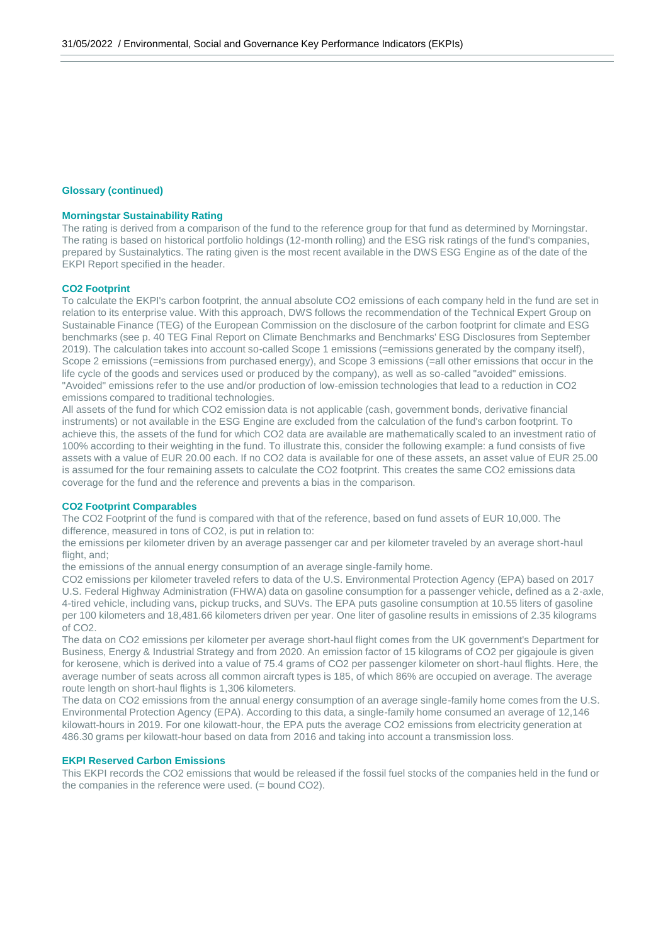## **Glossary (continued)**

# **Morningstar Sustainability Rating**

The rating is derived from a comparison of the fund to the reference group for that fund as determined by Morningstar. The rating is based on historical portfolio holdings (12-month rolling) and the ESG risk ratings of the fund's companies, prepared by Sustainalytics. The rating given is the most recent available in the DWS ESG Engine as of the date of the EKPI Report specified in the header.

### **CO2 Footprint**

To calculate the EKPI's carbon footprint, the annual absolute CO2 emissions of each company held in the fund are set in relation to its enterprise value. With this approach, DWS follows the recommendation of the Technical Expert Group on Sustainable Finance (TEG) of the European Commission on the disclosure of the carbon footprint for climate and ESG benchmarks (see p. 40 TEG Final Report on Climate Benchmarks and Benchmarks' ESG Disclosures from September 2019). The calculation takes into account so-called Scope 1 emissions (=emissions generated by the company itself), Scope 2 emissions (=emissions from purchased energy), and Scope 3 emissions (=all other emissions that occur in the life cycle of the goods and services used or produced by the company), as well as so-called "avoided" emissions. "Avoided" emissions refer to the use and/or production of low-emission technologies that lead to a reduction in CO2 emissions compared to traditional technologies.

All assets of the fund for which CO2 emission data is not applicable (cash, government bonds, derivative financial instruments) or not available in the ESG Engine are excluded from the calculation of the fund's carbon footprint. To achieve this, the assets of the fund for which CO2 data are available are mathematically scaled to an investment ratio of 100% according to their weighting in the fund. To illustrate this, consider the following example: a fund consists of five assets with a value of EUR 20.00 each. If no CO2 data is available for one of these assets, an asset value of EUR 25.00 is assumed for the four remaining assets to calculate the CO2 footprint. This creates the same CO2 emissions data coverage for the fund and the reference and prevents a bias in the comparison.

# **CO2 Footprint Comparables**

The CO2 Footprint of the fund is compared with that of the reference, based on fund assets of EUR 10,000. The difference, measured in tons of CO2, is put in relation to:

the emissions per kilometer driven by an average passenger car and per kilometer traveled by an average short-haul flight, and;

the emissions of the annual energy consumption of an average single-family home.

CO2 emissions per kilometer traveled refers to data of the U.S. Environmental Protection Agency (EPA) based on 2017 U.S. Federal Highway Administration (FHWA) data on gasoline consumption for a passenger vehicle, defined as a 2-axle, 4-tired vehicle, including vans, pickup trucks, and SUVs. The EPA puts gasoline consumption at 10.55 liters of gasoline per 100 kilometers and 18,481.66 kilometers driven per year. One liter of gasoline results in emissions of 2.35 kilograms of CO2.

The data on CO2 emissions per kilometer per average short-haul flight comes from the UK government's Department for Business, Energy & Industrial Strategy and from 2020. An emission factor of 15 kilograms of CO2 per gigajoule is given for kerosene, which is derived into a value of 75.4 grams of CO2 per passenger kilometer on short-haul flights. Here, the average number of seats across all common aircraft types is 185, of which 86% are occupied on average. The average route length on short-haul flights is 1,306 kilometers.

The data on CO2 emissions from the annual energy consumption of an average single-family home comes from the U.S. Environmental Protection Agency (EPA). According to this data, a single-family home consumed an average of 12,146 kilowatt-hours in 2019. For one kilowatt-hour, the EPA puts the average CO2 emissions from electricity generation at 486.30 grams per kilowatt-hour based on data from 2016 and taking into account a transmission loss.

### **EKPI Reserved Carbon Emissions**

This EKPI records the CO2 emissions that would be released if the fossil fuel stocks of the companies held in the fund or the companies in the reference were used. (= bound CO2).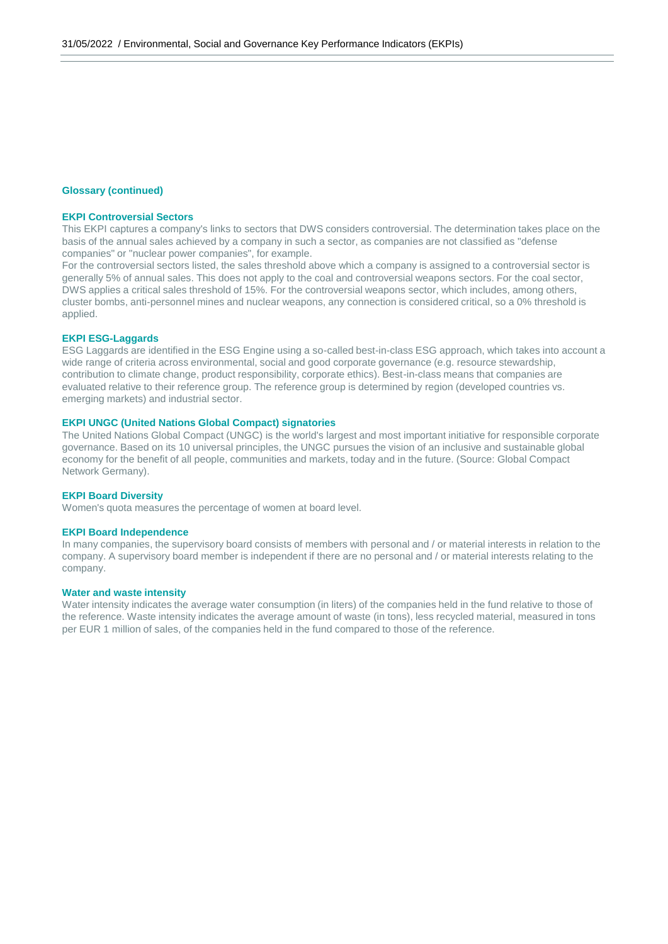### **Glossary (continued)**

# **EKPI Controversial Sectors**

This EKPI captures a company's links to sectors that DWS considers controversial. The determination takes place on the basis of the annual sales achieved by a company in such a sector, as companies are not classified as "defense companies" or "nuclear power companies", for example.

For the controversial sectors listed, the sales threshold above which a company is assigned to a controversial sector is generally 5% of annual sales. This does not apply to the coal and controversial weapons sectors. For the coal sector, DWS applies a critical sales threshold of 15%. For the controversial weapons sector, which includes, among others, cluster bombs, anti-personnel mines and nuclear weapons, any connection is considered critical, so a 0% threshold is applied.

### **EKPI ESG-Laggards**

ESG Laggards are identified in the ESG Engine using a so-called best-in-class ESG approach, which takes into account a wide range of criteria across environmental, social and good corporate governance (e.g. resource stewardship, contribution to climate change, product responsibility, corporate ethics). Best-in-class means that companies are evaluated relative to their reference group. The reference group is determined by region (developed countries vs. emerging markets) and industrial sector.

# **EKPI UNGC (United Nations Global Compact) signatories**

The United Nations Global Compact (UNGC) is the world's largest and most important initiative for responsible corporate governance. Based on its 10 universal principles, the UNGC pursues the vision of an inclusive and sustainable global economy for the benefit of all people, communities and markets, today and in the future. (Source: Global Compact Network Germany).

### **EKPI Board Diversity**

Women's quota measures the percentage of women at board level.

### **EKPI Board Independence**

In many companies, the supervisory board consists of members with personal and / or material interests in relation to the company. A supervisory board member is independent if there are no personal and / or material interests relating to the company.

# **Water and waste intensity**

Water intensity indicates the average water consumption (in liters) of the companies held in the fund relative to those of the reference. Waste intensity indicates the average amount of waste (in tons), less recycled material, measured in tons per EUR 1 million of sales, of the companies held in the fund compared to those of the reference.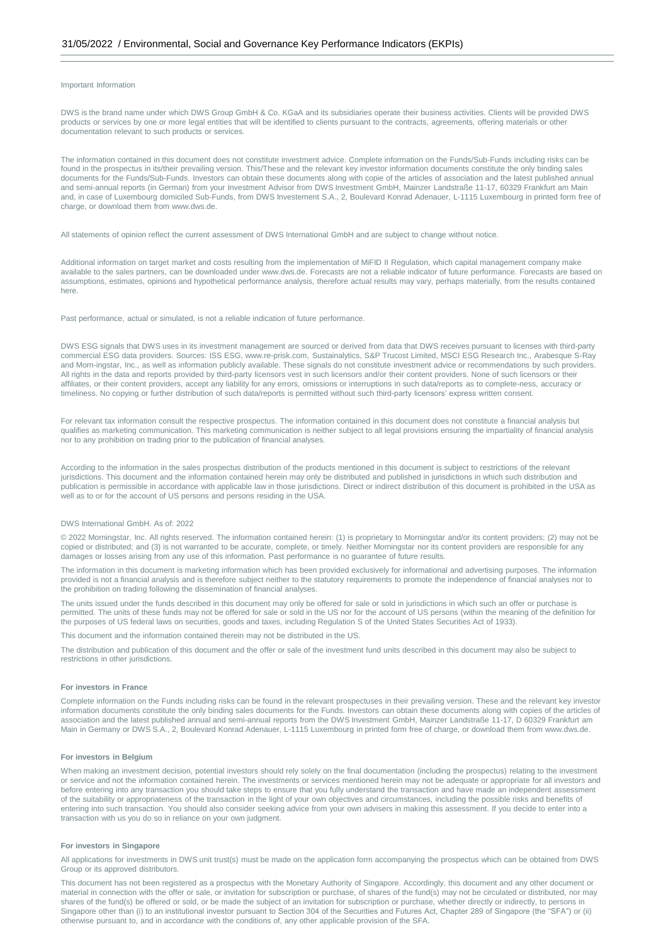### Important Information

DWS is the brand name under which DWS Group GmbH & Co. KGaA and its subsidiaries operate their business activities. Clients will be provided DWS products or services by one or more legal entities that will be identified to clients pursuant to the contracts, agreements, offering materials or other documentation relevant to such products or services.

The information contained in this document does not constitute investment advice. Complete information on the Funds/Sub-Funds including risks can be found in the prospectus in its/their prevailing version. This/These and the relevant key investor information documents constitute the only binding sales documents for the Funds/Sub-Funds. Investors can obtain these documents along with copie of the articles of association and the latest published annual and semi-annual reports (in German) from your Investment Advisor from DWS Investment GmbH, Mainzer Landstraße 11-17, 60329 Frankfurt am Main and, in case of Luxembourg domiciled Sub-Funds, from DWS Investement S.A., 2, Boulevard Konrad Adenauer, L-1115 Luxembourg in printed form free of charge, or download them from www.dws.de.

All statements of opinion reflect the current assessment of DWS International GmbH and are subject to change without notice.

Additional information on target market and costs resulting from the implementation of MiFID II Regulation, which capital management company make available to the sales partners, can be downloaded under www.dws.de. Forecasts are not a reliable indicator of future performance. Forecasts are based on assumptions, estimates, opinions and hypothetical performance analysis, therefore actual results may vary, perhaps materially, from the results contained here.

Past performance, actual or simulated, is not a reliable indication of future performance.

DWS ESG signals that DWS uses in its investment management are sourced or derived from data that DWS receives pursuant to licenses with third-party commercial ESG data providers. Sources: ISS ESG, www.re-prisk.com, Sustainalytics, S&P Trucost Limited, MSCI ESG Research Inc., Arabesque S-Ray and Morn-ingstar, Inc., as well as information publicly available. These signals do not constitute investment advice or recommendations by such providers. All rights in the data and reports provided by third-party licensors vest in such licensors and/or their content providers. None of such licensors or their affiliates, or their content providers, accept any liability for any errors, omissions or interruptions in such data/reports as to complete-ness, accuracy or timeliness. No copying or further distribution of such data/reports is permitted without such third-party licensors' express written consent.

For relevant tax information consult the respective prospectus. The information contained in this document does not constitute a financial analysis but qualifies as marketing communication. This marketing communication is neither subject to all legal provisions ensuring the impartiality of financial analysis nor to any prohibition on trading prior to the publication of financial analyses.

According to the information in the sales prospectus distribution of the products mentioned in this document is subject to restrictions of the relevant jurisdictions. This document and the information contained herein may only be distributed and published in jurisdictions in which such distribution and publication is permissible in accordance with applicable law in those jurisdictions. Direct or indirect distribution of this document is prohibited in the USA as well as to or for the account of US persons and persons residing in the USA.

#### DWS International GmbH. As of: 2022

© 2022 Morningstar, Inc. All rights reserved. The information contained herein: (1) is proprietary to Morningstar and/or its content providers; (2) may not be copied or distributed; and (3) is not warranted to be accurate, complete, or timely. Neither Morningstar nor its content providers are responsible for any damages or losses arising from any use of this information. Past performance is no guarantee of future results.

The information in this document is marketing information which has been provided exclusively for informational and advertising purposes. The information provided is not a financial analysis and is therefore subject neither to the statutory requirements to promote the independence of financial analyses nor to the prohibition on trading following the dissemination of financial analyses.

The units issued under the funds described in this document may only be offered for sale or sold in jurisdictions in which such an offer or purchase is permitted. The units of these funds may not be offered for sale or sold in the US nor for the account of US persons (within the meaning of the definition for the purposes of US federal laws on securities, goods and taxes, including Regulation S of the United States Securities Act of 1933).

This document and the information contained therein may not be distributed in the US.

The distribution and publication of this document and the offer or sale of the investment fund units described in this document may also be subject to restrictions in other jurisdictions.

#### **For investors in France**

Complete information on the Funds including risks can be found in the relevant prospectuses in their prevailing version. These and the relevant key investor information documents constitute the only binding sales documents for the Funds. Investors can obtain these documents along with copies of the articles of association and the latest published annual and semi-annual reports from the DWS Investment GmbH, Mainzer Landstraße 11-17, D 60329 Frankfurt am Main in Germany or DWS S.A., 2, Boulevard Konrad Adenauer, L-1115 Luxembourg in printed form free of charge, or download them from www.dws.de.

#### **For investors in Belgium**

When making an investment decision, potential investors should rely solely on the final documentation (including the prospectus) relating to the investment or service and not the information contained herein. The investments or services mentioned herein may not be adequate or appropriate for all investors and before entering into any transaction you should take steps to ensure that you fully understand the transaction and have made an independent assessment of the suitability or appropriateness of the transaction in the light of your own objectives and circumstances, including the possible risks and benefits of entering into such transaction. You should also consider seeking advice from your own advisers in making this assessment. If you decide to enter into a transaction with us you do so in reliance on your own judgment.

#### **For investors in Singapore**

All applications for investments in DWS unit trust(s) must be made on the application form accompanying the prospectus which can be obtained from DWS Group or its approved distributors.

This document has not been registered as a prospectus with the Monetary Authority of Singapore. Accordingly, this document and any other document or material in connection with the offer or sale, or invitation for subscription or purchase, of shares of the fund(s) may not be circulated or distributed, nor may shares of the fund(s) be offered or sold, or be made the subject of an invitation for subscription or purchase, whether directly or indirectly, to persons in Singapore other than (i) to an institutional investor pursuant to Section 304 of the Securities and Futures Act, Chapter 289 of Singapore (the "SFA") or (ii) otherwise pursuant to, and in accordance with the conditions of, any other applicable provision of the SFA.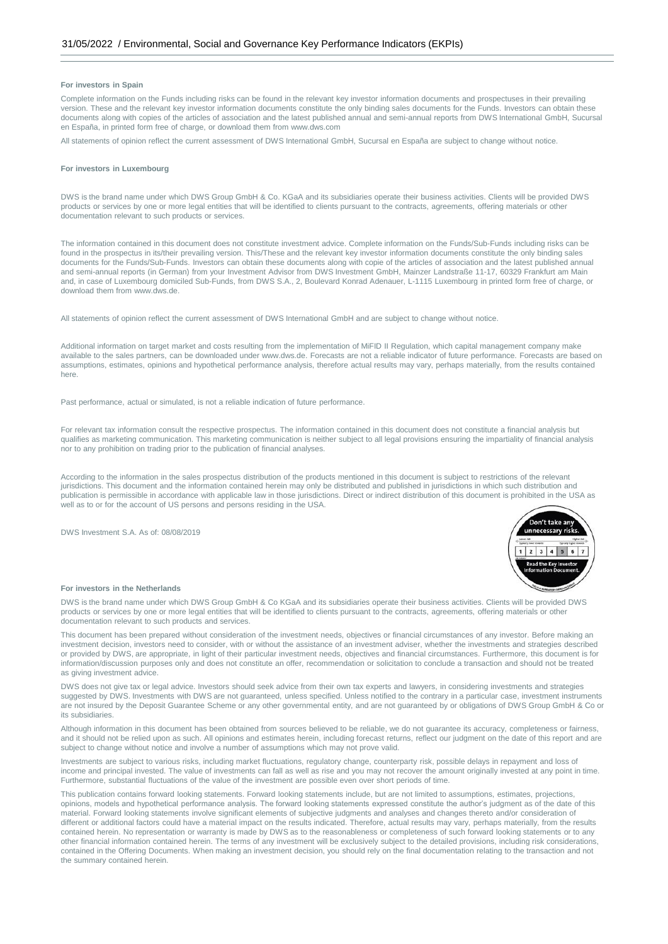### **For investors in Spain**

Complete information on the Funds including risks can be found in the relevant key investor information documents and prospectuses in their prevailing version. These and the relevant key investor information documents constitute the only binding sales documents for the Funds. Investors can obtain these documents along with copies of the articles of association and the latest published annual and semi-annual reports from DWS International GmbH, Sucursal en España, in printed form free of charge, or download them from www.dws.com

All statements of opinion reflect the current assessment of DWS International GmbH, Sucursal en España are subject to change without notice.

#### **For investors in Luxembourg**

DWS is the brand name under which DWS Group GmbH & Co. KGaA and its subsidiaries operate their business activities. Clients will be provided DWS products or services by one or more legal entities that will be identified to clients pursuant to the contracts, agreements, offering materials or other documentation relevant to such products or services.

The information contained in this document does not constitute investment advice. Complete information on the Funds/Sub-Funds including risks can be found in the prospectus in its/their prevailing version. This/These and the relevant key investor information documents constitute the only binding sales documents for the Funds/Sub-Funds. Investors can obtain these documents along with copie of the articles of association and the latest published annual and semi-annual reports (in German) from your Investment Advisor from DWS Investment GmbH, Mainzer Landstraße 11-17, 60329 Frankfurt am Main and, in case of Luxembourg domiciled Sub-Funds, from DWS S.A., 2, Boulevard Konrad Adenauer, L-1115 Luxembourg in printed form free of charge, or download them from www.dws.de.

All statements of opinion reflect the current assessment of DWS International GmbH and are subject to change without notice.

Additional information on target market and costs resulting from the implementation of MiFID II Regulation, which capital management company make available to the sales partners, can be downloaded under www.dws.de. Forecasts are not a reliable indicator of future performance. Forecasts are based on assumptions, estimates, opinions and hypothetical performance analysis, therefore actual results may vary, perhaps materially, from the results contained here.

Past performance, actual or simulated, is not a reliable indication of future performance.

For relevant tax information consult the respective prospectus. The information contained in this document does not constitute a financial analysis but qualifies as marketing communication. This marketing communication is neither subject to all legal provisions ensuring the impartiality of financial analysis nor to any prohibition on trading prior to the publication of financial analyses.

According to the information in the sales prospectus distribution of the products mentioned in this document is subject to restrictions of the relevant jurisdictions. This document and the information contained herein may only be distributed and published in jurisdictions in which such distribution and publication is permissible in accordance with applicable law in those jurisdictions. Direct or indirect distribution of this document is prohibited in the USA as well as to or for the account of US persons and persons residing in the USA.

DWS Investment S.A. As of: 08/08/2019



#### **For investors in the Netherlands**

DWS is the brand name under which DWS Group GmbH & Co KGaA and its subsidiaries operate their business activities. Clients will be provided DWS products or services by one or more legal entities that will be identified to clients pursuant to the contracts, agreements, offering materials or other documentation relevant to such products and services.

This document has been prepared without consideration of the investment needs, objectives or financial circumstances of any investor. Before making an investment decision, investors need to consider, with or without the assistance of an investment adviser, whether the investments and strategies described or provided by DWS, are appropriate, in light of their particular investment needs, objectives and financial circumstances. Furthermore, this document is for information/discussion purposes only and does not constitute an offer, recommendation or solicitation to conclude a transaction and should not be treated as giving investment advice

DWS does not give tax or legal advice. Investors should seek advice from their own tax experts and lawyers, in considering investments and strategies suggested by DWS. Investments with DWS are not guaranteed, unless specified. Unless notified to the contrary in a particular case, investment instruments are not insured by the Deposit Guarantee Scheme or any other governmental entity, and are not guaranteed by or obligations of DWS Group GmbH & Co or its subsidiaries.

Although information in this document has been obtained from sources believed to be reliable, we do not guarantee its accuracy, completeness or fairness, and it should not be relied upon as such. All opinions and estimates herein, including forecast returns, reflect our judgment on the date of this report and are subject to change without notice and involve a number of assumptions which may not prove valid.

Investments are subject to various risks, including market fluctuations, regulatory change, counterparty risk, possible delays in repayment and loss of income and principal invested. The value of investments can fall as well as rise and you may not recover the amount originally invested at any point in time. Furthermore, substantial fluctuations of the value of the investment are possible even over short periods of time.

This publication contains forward looking statements. Forward looking statements include, but are not limited to assumptions, estimates, projections, opinions, models and hypothetical performance analysis. The forward looking statements expressed constitute the author's judgment as of the date of this material. Forward looking statements involve significant elements of subjective judgments and analyses and changes thereto and/or consideration of different or additional factors could have a material impact on the results indicated. Therefore, actual results may vary, perhaps materially, from the results contained herein. No representation or warranty is made by DWS as to the reasonableness or completeness of such forward looking statements or to any other financial information contained herein. The terms of any investment will be exclusively subject to the detailed provisions, including risk considerations, contained in the Offering Documents. When making an investment decision, you should rely on the final documentation relating to the transaction and not the summary contained herein.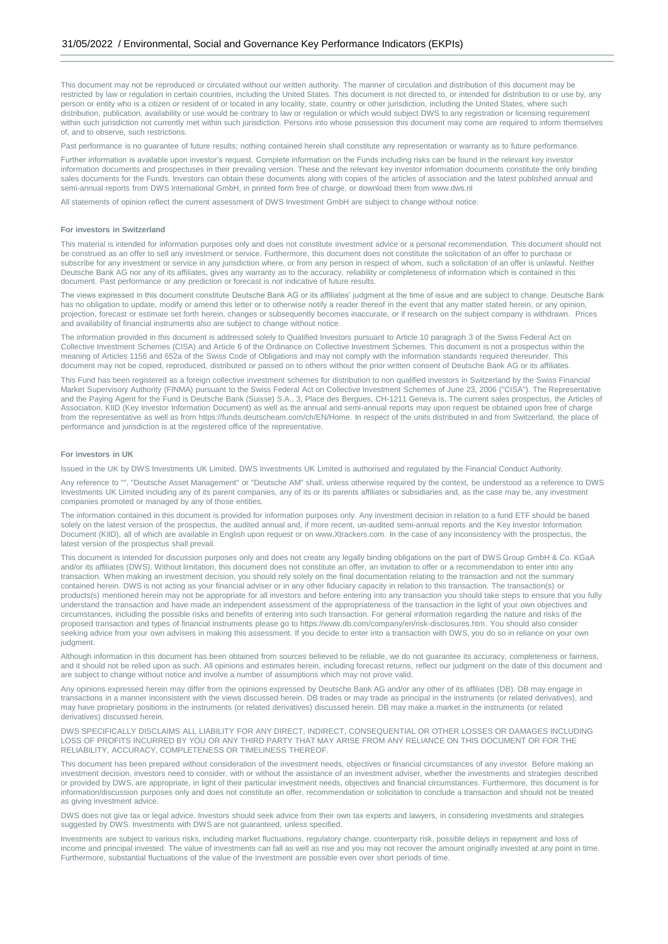This document may not be reproduced or circulated without our written authority. The manner of circulation and distribution of this document may be restricted by law or regulation in certain countries, including the United States. This document is not directed to, or intended for distribution to or use by, any person or entity who is a citizen or resident of or located in any locality, state, country or other jurisdiction, including the United States, where such distribution, publication, availability or use would be contrary to law or regulation or which would subject DWS to any registration or licensing requirement within such jurisdiction not currently met within such jurisdiction. Persons into whose possession this document may come are required to inform themselves of, and to observe, such restrictions.

Past performance is no guarantee of future results; nothing contained herein shall constitute any representation or warranty as to future performance.

Further information is available upon investor's request. Complete information on the Funds including risks can be found in the relevant key investor information documents and prospectuses in their prevailing version. These and the relevant key investor information documents constitute the only binding sales documents for the Funds. Investors can obtain these documents along with copies of the articles of association and the latest published annual and semi-annual reports from DWS International GmbH, in printed form free of charge, or download them from www.dws.nl

All statements of opinion reflect the current assessment of DWS Investment GmbH are subject to change without notice.

### **For investors in Switzerland**

This material is intended for information purposes only and does not constitute investment advice or a personal recommendation. This document should not be construed as an offer to sell any investment or service. Furthermore, this document does not constitute the solicitation of an offer to purchase or subscribe for any investment or service in any jurisdiction where, or from any person in respect of whom, such a solicitation of an offer is unlawful. Neither Deutsche Bank AG nor any of its affiliates, gives any warranty as to the accuracy, reliability or completeness of information which is contained in this document. Past performance or any prediction or forecast is not indicative of future results.

The views expressed in this document constitute Deutsche Bank AG or its affiliates' judgment at the time of issue and are subject to change. Deutsche Bank has no obligation to update, modify or amend this letter or to otherwise notify a reader thereof in the event that any matter stated herein, or any opinion, projection, forecast or estimate set forth herein, changes or subsequently becomes inaccurate, or if research on the subject company is withdrawn. Prices and availability of financial instruments also are subject to change without notice.

The information provided in this document is addressed solely to Qualified Investors pursuant to Article 10 paragraph 3 of the Swiss Federal Act on Collective Investment Schemes (CISA) and Article 6 of the Ordinance on Collective Investment Schemes. This document is not a prospectus within the meaning of Articles 1156 and 652a of the Swiss Code of Obligations and may not comply with the information standards required thereunder. This document may not be copied, reproduced, distributed or passed on to others without the prior written consent of Deutsche Bank AG or its affiliates.

This Fund has been registered as a foreign collective investment schemes for distribution to non qualified investors in Switzerland by the Swiss Financial Market Supervisory Authority (FINMA) pursuant to the Swiss Federal Act on Collective Investment Schemes of June 23, 2006 ("CISA"). The Representative and the Paying Agent for the Fund is Deutsche Bank (Suisse) S.A., 3, Place des Bergues, CH-1211 Geneva is. The current sales prospectus, the Articles of Association, KIID (Key Investor Information Document) as well as the annual and semi-annual reports may upon request be obtained upon free of charge from the representative as well as from https://funds.deutscheam.com/ch/EN/Home. In respect of the units distributed in and from Switzerland, the place of performance and jurisdiction is at the registered office of the representative.

#### **For investors in UK**

Issued in the UK by DWS Investments UK Limited. DWS Investments UK Limited is authorised and regulated by the Financial Conduct Authority.

Any reference to "", "Deutsche Asset Management" or "Deutsche AM" shall, unless otherwise required by the context, be understood as a reference to DWS Investments UK Limited including any of its parent companies, any of its or its parents affiliates or subsidiaries and, as the case may be, any investment companies promoted or managed by any of those entities.

The information contained in this document is provided for information purposes only. Any investment decision in relation to a fund ETF should be based solely on the latest version of the prospectus, the audited annual and, if more recent, un-audited semi-annual reports and the Key Investor Information Document (KIID), all of which are available in English upon request or on www.Xtrackers.com. In the case of any inconsistency with the prospectus, the latest version of the prospectus shall prevail.

This document is intended for discussion purposes only and does not create any legally binding obligations on the part of DWS Group GmbH & Co. KGaA and/or its affiliates (DWS). Without limitation, this document does not constitute an offer, an invitation to offer or a recommendation to enter into any transaction. When making an investment decision, you should rely solely on the final documentation relating to the transaction and not the summary contained herein. DWS is not acting as your financial adviser or in any other fiduciary capacity in relation to this transaction. The transaction(s) or products(s) mentioned herein may not be appropriate for all investors and before entering into any transaction you should take steps to ensure that you fully understand the transaction and have made an independent assessment of the appropriateness of the transaction in the light of your own objectives and circumstances, including the possible risks and benefits of entering into such transaction. For general information regarding the nature and risks of the proposed transaction and types of financial instruments please go to https://www.db.com/company/en/risk-disclosures.htm. You should also consider seeking advice from your own advisers in making this assessment. If you decide to enter into a transaction with DWS, you do so in reliance on your own judgment.

Although information in this document has been obtained from sources believed to be reliable, we do not guarantee its accuracy, completeness or fairness, and it should not be relied upon as such. All opinions and estimates herein, including forecast returns, reflect our judgment on the date of this document and are subject to change without notice and involve a number of assumptions which may not prove valid.

Any opinions expressed herein may differ from the opinions expressed by Deutsche Bank AG and/or any other of its affiliates (DB). DB may engage in transactions in a manner inconsistent with the views discussed herein. DB trades or may trade as principal in the instruments (or related derivatives), and may have proprietary positions in the instruments (or related derivatives) discussed herein. DB may make a market in the instruments (or related derivatives) discussed herein.

DWS SPECIFICALLY DISCLAIMS ALL LIABILITY FOR ANY DIRECT, INDIRECT, CONSEQUENTIAL OR OTHER LOSSES OR DAMAGES INCLUDING LOSS OF PROFITS INCURRED BY YOU OR ANY THIRD PARTY THAT MAY ARISE FROM ANY RELIANCE ON THIS DOCUMENT OR FOR THE RELIABILITY, ACCURACY, COMPLETENESS OR TIMELINESS THEREOF.

This document has been prepared without consideration of the investment needs, objectives or financial circumstances of any investor. Before making an investment decision, investors need to consider, with or without the assistance of an investment adviser, whether the investments and strategies described or provided by DWS, are appropriate, in light of their particular investment needs, objectives and financial circumstances. Furthermore, this document is for information/discussion purposes only and does not constitute an offer, recommendation or solicitation to conclude a transaction and should not be treated as giving investment advice.

DWS does not give tax or legal advice. Investors should seek advice from their own tax experts and lawyers, in considering investments and strategies suggested by DWS. Investments with DWS are not guaranteed, unless specified.

Investments are subject to various risks, including market fluctuations, regulatory change, counterparty risk, possible delays in repayment and loss of income and principal invested. The value of investments can fall as well as rise and you may not recover the amount originally invested at any point in time. Furthermore, substantial fluctuations of the value of the investment are possible even over short periods of time.